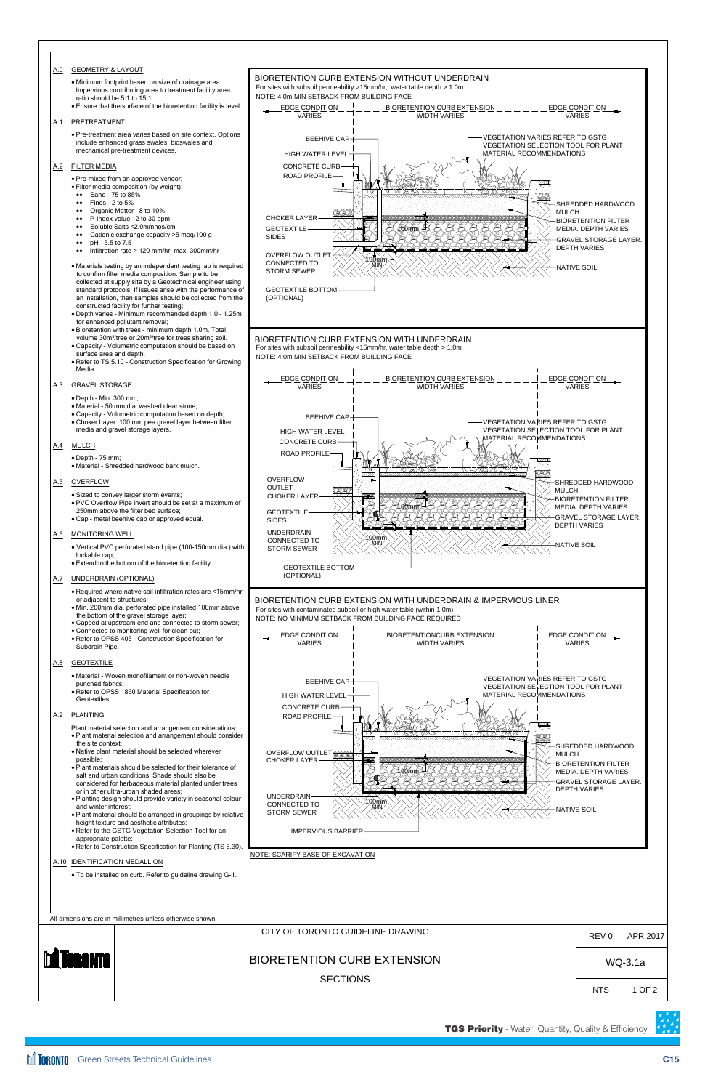

| . Plant material should be arranged in groupings by relative<br>height texture and aesthetic attributes;<br>• Refer to the GSTG Vegetation Selection Tool for an<br>appropriate palette;<br>• Refer to Construction Specification for Planting (TS 5.30).<br>A.10 IDENTIFICATION MEDALLION<br>• To be installed on curb. Refer to guideline drawing G-1. | <b>STORM SEWER</b><br>NOTE: SCARIFY BASE OF EXCAVATION | <b>IMPERVIOUS BARRIER</b>         |  |            |          |
|----------------------------------------------------------------------------------------------------------------------------------------------------------------------------------------------------------------------------------------------------------------------------------------------------------------------------------------------------------|--------------------------------------------------------|-----------------------------------|--|------------|----------|
| All dimensions are in millimetres unless otherwise shown.                                                                                                                                                                                                                                                                                                |                                                        |                                   |  |            |          |
|                                                                                                                                                                                                                                                                                                                                                          |                                                        | CITY OF TORONTO GUIDELINE DRAWING |  | REV 0      | APR 2017 |
| <b>M</b> TORONTO                                                                                                                                                                                                                                                                                                                                         | <b>BIORETENTION CURB EXTENSION</b>                     |                                   |  | WQ-3.1a    |          |
|                                                                                                                                                                                                                                                                                                                                                          |                                                        | <b>SECTIONS</b>                   |  | <b>NTS</b> | 1 OF 2   |